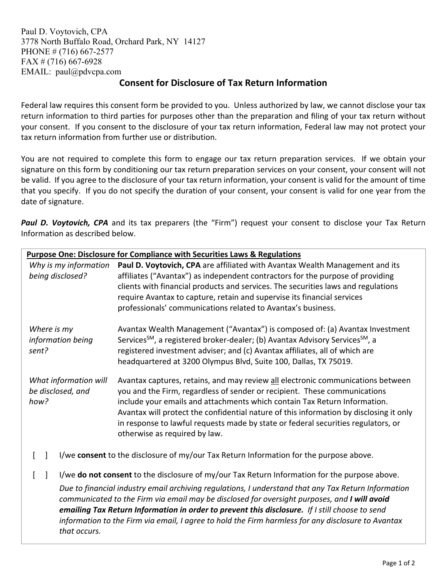Paul D. Voytovich, CPA 3778 North Buffalo Road, Orchard Park, NY 14127 PHONE # (716) 667-2577 FAX # (716) 667-6928 EMAIL: paul@pdvcpa.com

## **Consent for Disclosure of Tax Return Information**

Federal law requires this consent form be provided to you. Unless authorized by law, we cannot disclose your tax return information to third parties for purposes other than the preparation and filing of your tax return without your consent. If you consent to the disclosure of your tax return information, Federal law may not protect your tax return information from further use or distribution.

You are not required to complete this form to engage our tax return preparation services. If we obtain your signature on this form by conditioning our tax return preparation services on your consent, your consent will not be valid. If you agree to the disclosure of your tax return information, your consent is valid for the amount of time that you specify. If you do not specify the duration of your consent, your consent is valid for one year from the date of signature.

Paul D. Voytovich, CPA and its tax preparers (the "Firm") request your consent to disclose your Tax Return Information as described below.

| Purpose One: Disclosure for Compliance with Securities Laws & Regulations              |                                                                                                                                                                                                                                                                                                                                                                                                                                                                                                              |
|----------------------------------------------------------------------------------------|--------------------------------------------------------------------------------------------------------------------------------------------------------------------------------------------------------------------------------------------------------------------------------------------------------------------------------------------------------------------------------------------------------------------------------------------------------------------------------------------------------------|
| Why is my information<br>being disclosed?                                              | Paul D. Voytovich, CPA are affiliated with Avantax Wealth Management and its<br>affiliates ("Avantax") as independent contractors for the purpose of providing<br>clients with financial products and services. The securities laws and regulations<br>require Avantax to capture, retain and supervise its financial services<br>professionals' communications related to Avantax's business.                                                                                                               |
| Where is my<br>information being<br>sent?                                              | Avantax Wealth Management ("Avantax") is composed of: (a) Avantax Investment<br>Services <sup>SM</sup> , a registered broker-dealer; (b) Avantax Advisory Services <sup>SM</sup> , a<br>registered investment adviser; and (c) Avantax affiliates, all of which are<br>headquartered at 3200 Olympus Blvd, Suite 100, Dallas, TX 75019.                                                                                                                                                                      |
| What information will<br>be disclosed, and<br>how?                                     | Avantax captures, retains, and may review all electronic communications between<br>you and the Firm, regardless of sender or recipient. These communications<br>include your emails and attachments which contain Tax Return Information.<br>Avantax will protect the confidential nature of this information by disclosing it only<br>in response to lawful requests made by state or federal securities regulators, or<br>otherwise as required by law.                                                    |
| I/we consent to the disclosure of my/our Tax Return Information for the purpose above. |                                                                                                                                                                                                                                                                                                                                                                                                                                                                                                              |
| that occurs.                                                                           | I/we do not consent to the disclosure of my/our Tax Return Information for the purpose above.<br>Due to financial industry email archiving regulations, I understand that any Tax Return Information<br>communicated to the Firm via email may be disclosed for oversight purposes, and I will avoid<br>emailing Tax Return Information in order to prevent this disclosure. If I still choose to send<br>information to the Firm via email, I agree to hold the Firm harmless for any disclosure to Avantax |